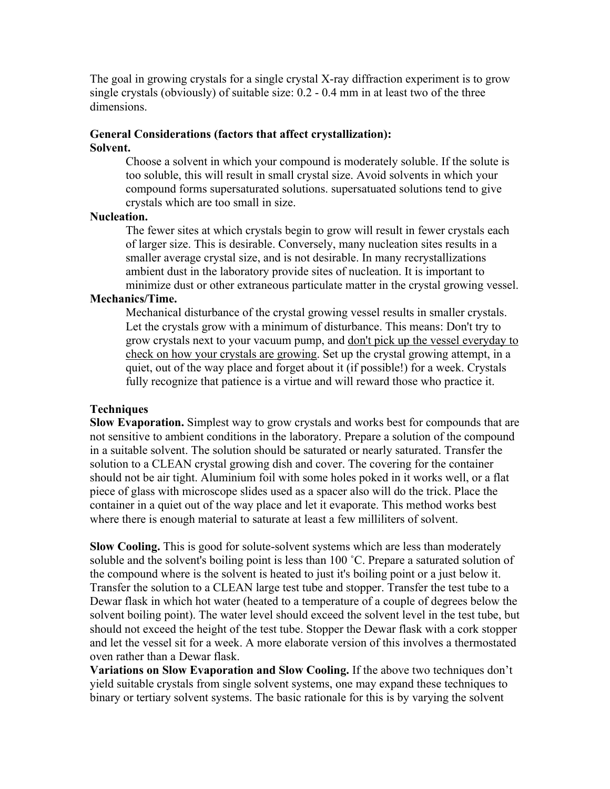The goal in growing crystals for a single crystal X-ray diffraction experiment is to grow single crystals (obviously) of suitable size: 0.2 - 0.4 mm in at least two of the three dimensions.

## **General Considerations (factors that affect crystallization): Solvent.**

Choose a solvent in which your compound is moderately soluble. If the solute is too soluble, this will result in small crystal size. Avoid solvents in which your compound forms supersaturated solutions. supersatuated solutions tend to give crystals which are too small in size.

## **Nucleation.**

The fewer sites at which crystals begin to grow will result in fewer crystals each of larger size. This is desirable. Conversely, many nucleation sites results in a smaller average crystal size, and is not desirable. In many recrystallizations ambient dust in the laboratory provide sites of nucleation. It is important to minimize dust or other extraneous particulate matter in the crystal growing vessel.

## **Mechanics/Time.**

Mechanical disturbance of the crystal growing vessel results in smaller crystals. Let the crystals grow with a minimum of disturbance. This means: Don't try to grow crystals next to your vacuum pump, and don't pick up the vessel everyday to check on how your crystals are growing. Set up the crystal growing attempt, in a quiet, out of the way place and forget about it (if possible!) for a week. Crystals fully recognize that patience is a virtue and will reward those who practice it.

## **Techniques**

**Slow Evaporation.** Simplest way to grow crystals and works best for compounds that are not sensitive to ambient conditions in the laboratory. Prepare a solution of the compound in a suitable solvent. The solution should be saturated or nearly saturated. Transfer the solution to a CLEAN crystal growing dish and cover. The covering for the container should not be air tight. Aluminium foil with some holes poked in it works well, or a flat piece of glass with microscope slides used as a spacer also will do the trick. Place the container in a quiet out of the way place and let it evaporate. This method works best where there is enough material to saturate at least a few milliliters of solvent.

**Slow Cooling.** This is good for solute-solvent systems which are less than moderately soluble and the solvent's boiling point is less than 100 °C. Prepare a saturated solution of the compound where is the solvent is heated to just it's boiling point or a just below it. Transfer the solution to a CLEAN large test tube and stopper. Transfer the test tube to a Dewar flask in which hot water (heated to a temperature of a couple of degrees below the solvent boiling point). The water level should exceed the solvent level in the test tube, but should not exceed the height of the test tube. Stopper the Dewar flask with a cork stopper and let the vessel sit for a week. A more elaborate version of this involves a thermostated oven rather than a Dewar flask.

**Variations on Slow Evaporation and Slow Cooling.** If the above two techniques don't yield suitable crystals from single solvent systems, one may expand these techniques to binary or tertiary solvent systems. The basic rationale for this is by varying the solvent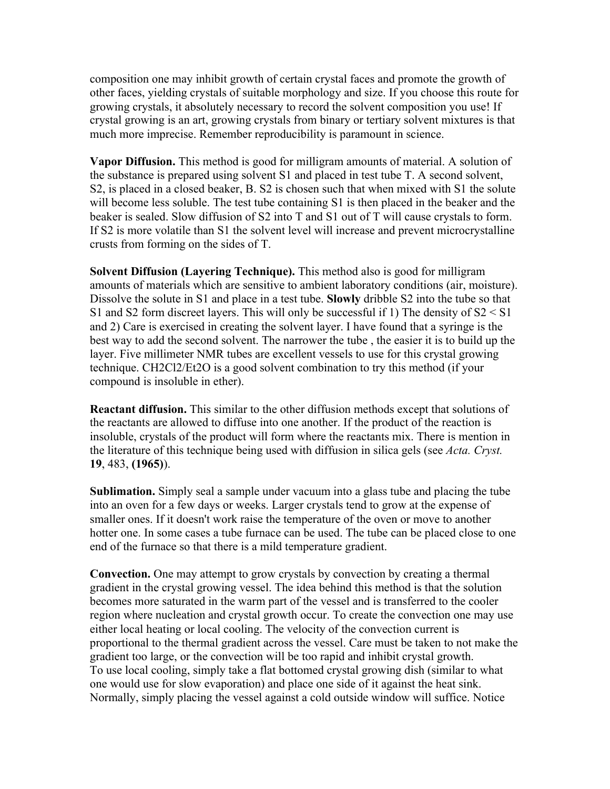composition one may inhibit growth of certain crystal faces and promote the growth of other faces, yielding crystals of suitable morphology and size. If you choose this route for growing crystals, it absolutely necessary to record the solvent composition you use! If crystal growing is an art, growing crystals from binary or tertiary solvent mixtures is that much more imprecise. Remember reproducibility is paramount in science.

**Vapor Diffusion.** This method is good for milligram amounts of material. A solution of the substance is prepared using solvent S1 and placed in test tube T. A second solvent, S2, is placed in a closed beaker, B. S2 is chosen such that when mixed with S1 the solute will become less soluble. The test tube containing S1 is then placed in the beaker and the beaker is sealed. Slow diffusion of S2 into T and S1 out of T will cause crystals to form. If S2 is more volatile than S1 the solvent level will increase and prevent microcrystalline crusts from forming on the sides of T.

**Solvent Diffusion (Layering Technique).** This method also is good for milligram amounts of materials which are sensitive to ambient laboratory conditions (air, moisture). Dissolve the solute in S1 and place in a test tube. **Slowly** dribble S2 into the tube so that S1 and S2 form discreet layers. This will only be successful if 1) The density of S2 < S1 and 2) Care is exercised in creating the solvent layer. I have found that a syringe is the best way to add the second solvent. The narrower the tube , the easier it is to build up the layer. Five millimeter NMR tubes are excellent vessels to use for this crystal growing technique. CH2Cl2/Et2O is a good solvent combination to try this method (if your compound is insoluble in ether).

**Reactant diffusion.** This similar to the other diffusion methods except that solutions of the reactants are allowed to diffuse into one another. If the product of the reaction is insoluble, crystals of the product will form where the reactants mix. There is mention in the literature of this technique being used with diffusion in silica gels (see *Acta. Cryst.* **19**, 483, **(1965)**).

**Sublimation.** Simply seal a sample under vacuum into a glass tube and placing the tube into an oven for a few days or weeks. Larger crystals tend to grow at the expense of smaller ones. If it doesn't work raise the temperature of the oven or move to another hotter one. In some cases a tube furnace can be used. The tube can be placed close to one end of the furnace so that there is a mild temperature gradient.

**Convection.** One may attempt to grow crystals by convection by creating a thermal gradient in the crystal growing vessel. The idea behind this method is that the solution becomes more saturated in the warm part of the vessel and is transferred to the cooler region where nucleation and crystal growth occur. To create the convection one may use either local heating or local cooling. The velocity of the convection current is proportional to the thermal gradient across the vessel. Care must be taken to not make the gradient too large, or the convection will be too rapid and inhibit crystal growth. To use local cooling, simply take a flat bottomed crystal growing dish (similar to what one would use for slow evaporation) and place one side of it against the heat sink. Normally, simply placing the vessel against a cold outside window will suffice. Notice